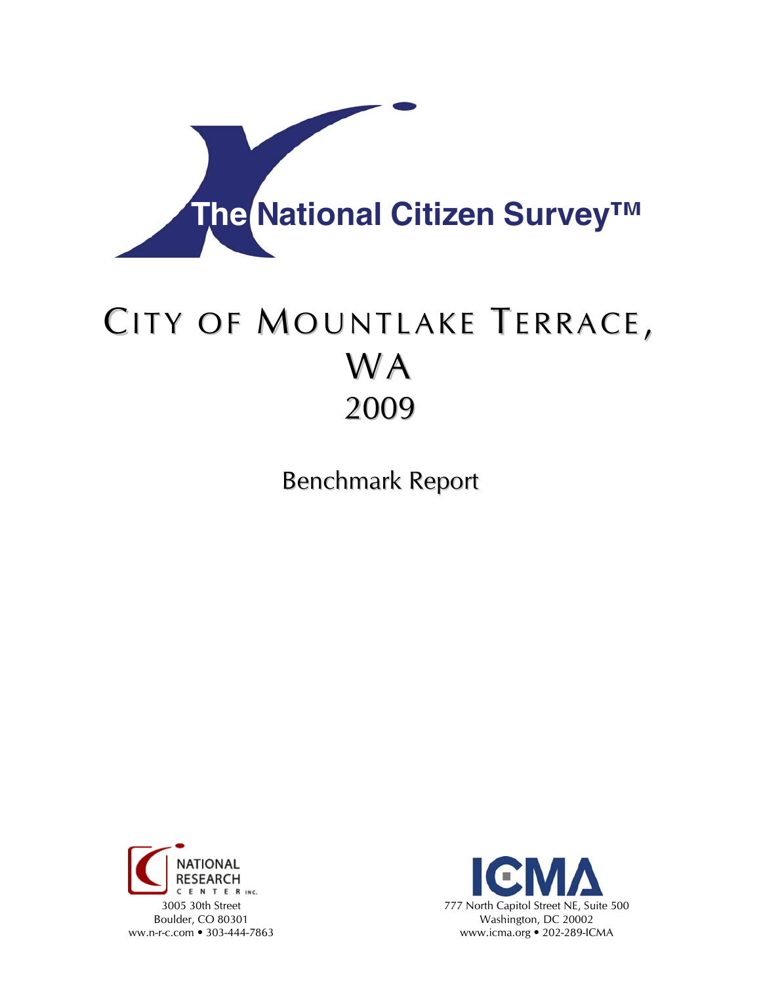

# CITY OF MOUNTLAKE TERRACE, WA 2009

Benchmark Report



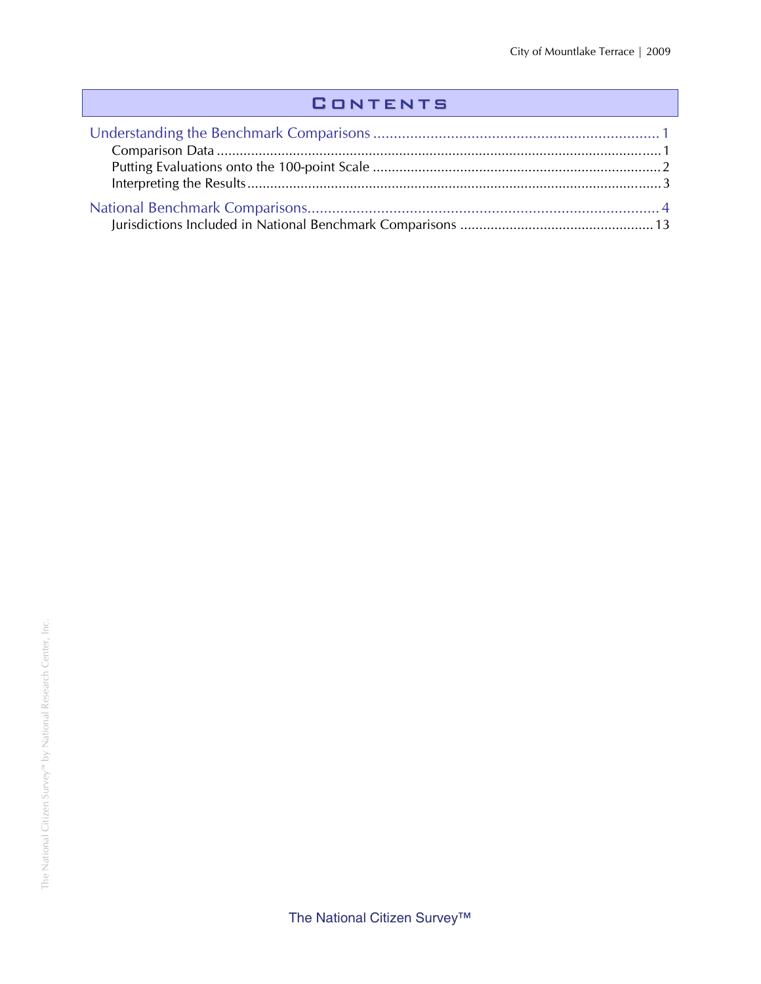## **CONTENTS**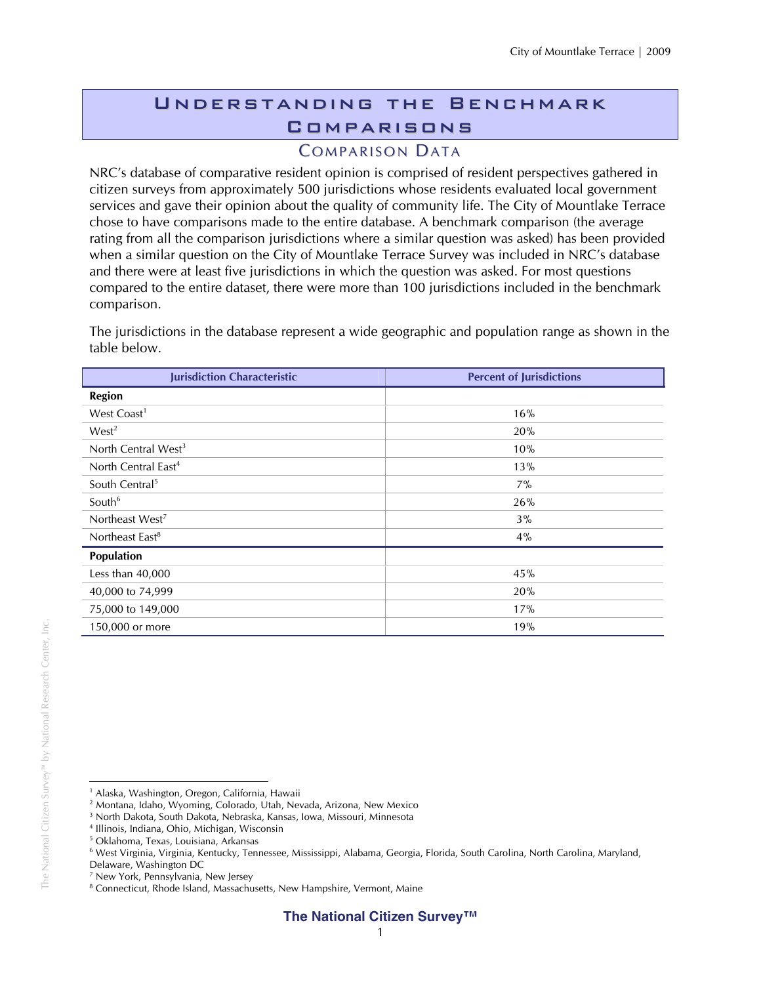## Understanding the Benchmark **COMPARISONS**

### **COMPARISON DATA**

NRC's database of comparative resident opinion is comprised of resident perspectives gathered in citizen surveys from approximately 500 jurisdictions whose residents evaluated local government services and gave their opinion about the quality of community life. The City of Mountlake Terrace chose to have comparisons made to the entire database. A benchmark comparison (the average rating from all the comparison jurisdictions where a similar question was asked) has been provided when a similar question on the City of Mountlake Terrace Survey was included in NRC's database and there were at least five jurisdictions in which the question was asked. For most questions compared to the entire dataset, there were more than 100 jurisdictions included in the benchmark comparison.

The jurisdictions in the database represent a wide geographic and population range as shown in the table below.

| <b>Jurisdiction Characteristic</b> | <b>Percent of Jurisdictions</b> |
|------------------------------------|---------------------------------|
| Region                             |                                 |
| West Coast <sup>1</sup>            | 16%                             |
| West <sup>2</sup>                  | 20%                             |
| North Central West <sup>3</sup>    | 10%                             |
| North Central East <sup>4</sup>    | 13%                             |
| South Central <sup>5</sup>         | $7\%$                           |
| South <sup>6</sup>                 | 26%                             |
| Northeast West <sup>7</sup>        | 3%                              |
| Northeast East <sup>8</sup>        | 4%                              |
| Population                         |                                 |
| Less than 40,000                   | 45%                             |
| 40,000 to 74,999                   | 20%                             |
| 75,000 to 149,000                  | 17%                             |
| 150,000 or more                    | 19%                             |

 $\overline{a}$ <sup>1</sup> Alaska, Washington, Oregon, California, Hawaii

<sup>2</sup> Montana, Idaho, Wyoming, Colorado, Utah, Nevada, Arizona, New Mexico

<sup>3</sup> North Dakota, South Dakota, Nebraska, Kansas, Iowa, Missouri, Minnesota

<sup>4</sup> Illinois, Indiana, Ohio, Michigan, Wisconsin

<sup>5</sup> Oklahoma, Texas, Louisiana, Arkansas

<sup>6</sup> West Virginia, Virginia, Kentucky, Tennessee, Mississippi, Alabama, Georgia, Florida, South Carolina, North Carolina, Maryland,

Delaware, Washington DC

<sup>7</sup> New York, Pennsylvania, New Jersey

<sup>&</sup>lt;sup>8</sup> Connecticut, Rhode Island, Massachusetts, New Hampshire, Vermont, Maine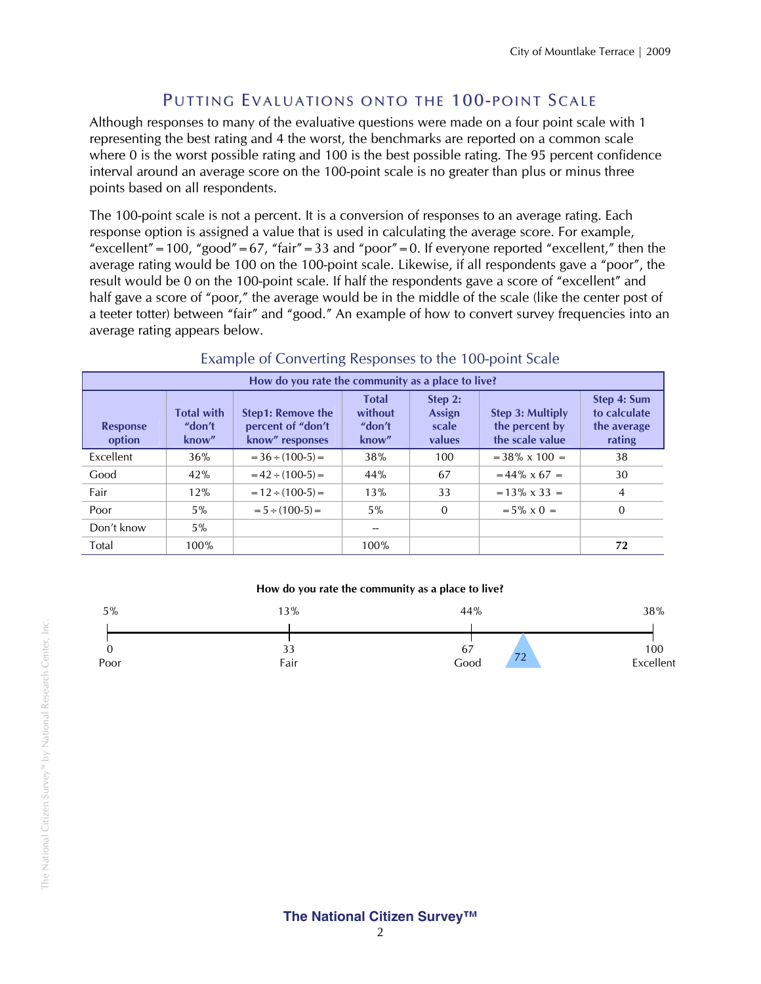### PUTTING EVALUATIONS ONTO THE 100-POINT SCALE

Although responses to many of the evaluative questions were made on a four point scale with 1 representing the best rating and 4 the worst, the benchmarks are reported on a common scale where 0 is the worst possible rating and 100 is the best possible rating. The 95 percent confidence interval around an average score on the 100-point scale is no greater than plus or minus three points based on all respondents.

The 100-point scale is not a percent. It is a conversion of responses to an average rating. Each response option is assigned a value that is used in calculating the average score. For example, "excellent" = 100, "good" = 67, "fair" = 33 and "poor" = 0. If everyone reported "excellent," then the average rating would be 100 on the 100-point scale. Likewise, if all respondents gave a "poor", the result would be 0 on the 100-point scale. If half the respondents gave a score of "excellent" and half gave a score of "poor," the average would be in the middle of the scale (like the center post of a teeter totter) between "fair" and "good." An example of how to convert survey frequencies into an average rating appears below.

| How do you rate the community as a place to live? |                                      |                                                                  |                                            |                                      |                                                       |                                                      |  |  |
|---------------------------------------------------|--------------------------------------|------------------------------------------------------------------|--------------------------------------------|--------------------------------------|-------------------------------------------------------|------------------------------------------------------|--|--|
| <b>Response</b><br>option                         | <b>Total with</b><br>"don't<br>know" | <b>Step1: Remove the</b><br>percent of "don't<br>know" responses | <b>Total</b><br>without<br>"don't<br>know" | Step 2:<br>Assign<br>scale<br>values | Step 3: Multiply<br>the percent by<br>the scale value | Step 4: Sum<br>to calculate<br>the average<br>rating |  |  |
| Excellent                                         | 36%                                  | $= 36 \div (100-5) =$                                            | 38%                                        | 100                                  | $=$ 38% x 100 $=$                                     | 38                                                   |  |  |
| Good                                              | 42%                                  | $= 42 \div (100-5) =$                                            | 44%                                        | 67                                   | $= 44\% \times 67 =$                                  | 30                                                   |  |  |
| Fair                                              | 12%                                  | $= 12 \div (100-5) =$                                            | 13%                                        | 33                                   | $= 13\% \times 33 =$                                  | 4                                                    |  |  |
| Poor                                              | 5%                                   | $= 5 \div (100-5) =$                                             | $5\%$                                      | $\mathbf{0}$                         | $= 5\% \times 0 =$                                    | $\Omega$                                             |  |  |
| Don't know                                        | $5\%$                                |                                                                  |                                            |                                      |                                                       |                                                      |  |  |
| Total                                             | 100%                                 |                                                                  | 100%                                       |                                      |                                                       | 72                                                   |  |  |

#### Example of Converting Responses to the 100-point Scale

#### **How do you rate the community as a place to live?**



#### **The National Citizen Survey™**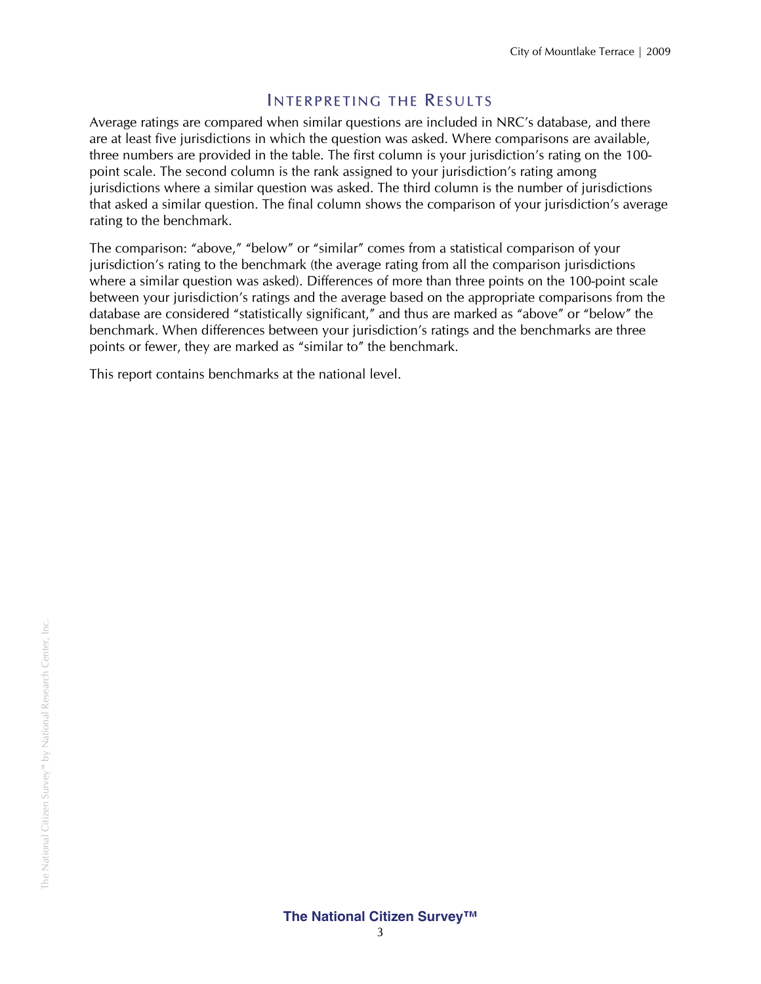#### INTERPRETING THE RESULTS

Average ratings are compared when similar questions are included in NRC's database, and there are at least five jurisdictions in which the question was asked. Where comparisons are available, three numbers are provided in the table. The first column is your jurisdiction's rating on the 100 point scale. The second column is the rank assigned to your jurisdiction's rating among jurisdictions where a similar question was asked. The third column is the number of jurisdictions that asked a similar question. The final column shows the comparison of your jurisdiction's average rating to the benchmark.

The comparison: "above," "below" or "similar" comes from a statistical comparison of your jurisdiction's rating to the benchmark (the average rating from all the comparison jurisdictions where a similar question was asked). Differences of more than three points on the 100-point scale between your jurisdiction's ratings and the average based on the appropriate comparisons from the database are considered "statistically significant," and thus are marked as "above" or "below" the benchmark. When differences between your jurisdiction's ratings and the benchmarks are three points or fewer, they are marked as "similar to" the benchmark.

This report contains benchmarks at the national level.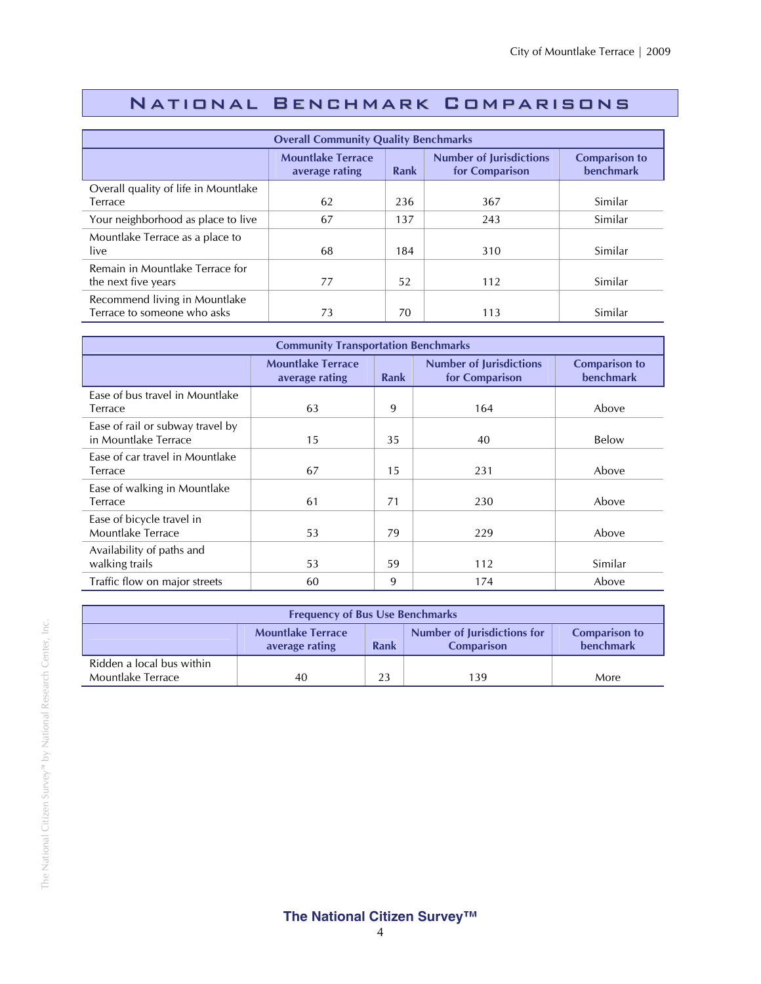## National Benchmark Comparisons

| <b>Overall Community Quality Benchmarks</b>                  |                                            |      |                                                  |                                   |  |
|--------------------------------------------------------------|--------------------------------------------|------|--------------------------------------------------|-----------------------------------|--|
|                                                              | <b>Mountlake Terrace</b><br>average rating | Rank | <b>Number of Jurisdictions</b><br>for Comparison | <b>Comparison to</b><br>benchmark |  |
| Overall quality of life in Mountlake<br>Terrace              | 62                                         | 236  | 367                                              | Similar                           |  |
| Your neighborhood as place to live                           | 67                                         | 137  | 243                                              | Similar                           |  |
| Mountlake Terrace as a place to<br>live                      | 68                                         | 184  | 310                                              | Similar                           |  |
| Remain in Mountlake Terrace for<br>the next five years       | 77                                         | 52   | 112                                              | Similar                           |  |
| Recommend living in Mountlake<br>Terrace to someone who asks | 73                                         | 70   | 113                                              | Similar                           |  |

| <b>Community Transportation Benchmarks</b>               |                                            |             |                                                  |                                   |  |
|----------------------------------------------------------|--------------------------------------------|-------------|--------------------------------------------------|-----------------------------------|--|
|                                                          | <b>Mountlake Terrace</b><br>average rating | <b>Rank</b> | <b>Number of Jurisdictions</b><br>for Comparison | <b>Comparison to</b><br>benchmark |  |
| Ease of bus travel in Mountlake<br>Terrace               | 63                                         | 9           | 164                                              | Above                             |  |
| Ease of rail or subway travel by<br>in Mountlake Terrace | 15                                         | 35          | 40                                               | Below                             |  |
| Ease of car travel in Mountlake<br>Terrace               | 67                                         | 15          | 231                                              | Above                             |  |
| Ease of walking in Mountlake<br>Terrace                  | 61                                         | 71          | 230                                              | Above                             |  |
| Ease of bicycle travel in<br>Mountlake Terrace           | 53                                         | 79          | 229                                              | Above                             |  |
| Availability of paths and<br>walking trails              | 53                                         | 59          | 112                                              | Similar                           |  |
| Traffic flow on major streets                            | 60                                         | 9           | 174                                              | Above                             |  |

| <b>Frequency of Bus Use Benchmarks</b>                                                                                                      |    |    |     |      |  |
|---------------------------------------------------------------------------------------------------------------------------------------------|----|----|-----|------|--|
| Number of Jurisdictions for<br><b>Mountlake Terrace</b><br><b>Comparison to</b><br>benchmark<br>Rank<br>average rating<br><b>Comparison</b> |    |    |     |      |  |
| Ridden a local bus within<br>Mountlake Terrace                                                                                              | 40 | 23 | 139 | More |  |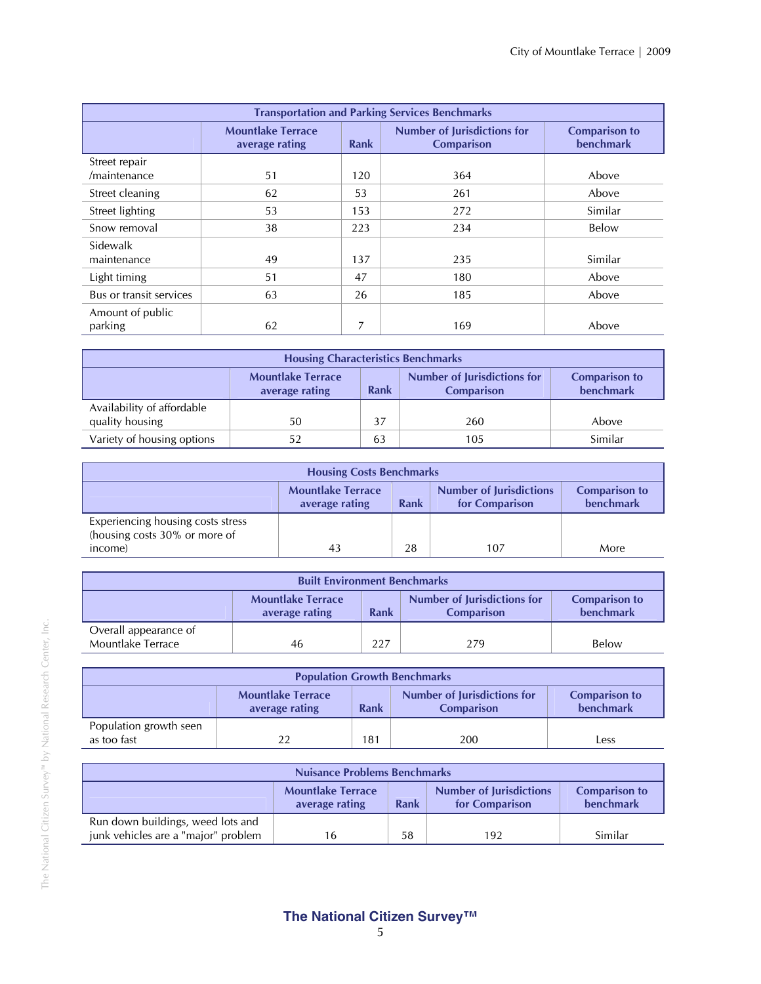| <b>Transportation and Parking Services Benchmarks</b> |                                            |      |                                                         |                                   |  |
|-------------------------------------------------------|--------------------------------------------|------|---------------------------------------------------------|-----------------------------------|--|
|                                                       | <b>Mountlake Terrace</b><br>average rating | Rank | <b>Number of Jurisdictions for</b><br><b>Comparison</b> | <b>Comparison to</b><br>benchmark |  |
| Street repair<br>/maintenance                         | 51                                         | 120  | 364                                                     | Above                             |  |
| Street cleaning                                       | 62                                         | 53   | 261                                                     | Above                             |  |
| Street lighting                                       | 53                                         | 153  | 272                                                     | Similar                           |  |
| Snow removal                                          | 38                                         | 223  | 234                                                     | Below                             |  |
| Sidewalk<br>maintenance                               | 49                                         | 137  | 235                                                     | Similar                           |  |
| Light timing                                          | 51                                         | 47   | 180                                                     | Above                             |  |
| Bus or transit services                               | 63                                         | 26   | 185                                                     | Above                             |  |
| Amount of public<br>parking                           | 62                                         |      | 169                                                     | Above                             |  |

| <b>Housing Characteristics Benchmarks</b>                                                                                                                 |    |    |     |         |  |
|-----------------------------------------------------------------------------------------------------------------------------------------------------------|----|----|-----|---------|--|
| <b>Number of Jurisdictions for</b><br><b>Mountlake Terrace</b><br><b>Comparison to</b><br><b>benchmark</b><br><b>Comparison</b><br>Rank<br>average rating |    |    |     |         |  |
| Availability of affordable                                                                                                                                |    |    |     |         |  |
| quality housing                                                                                                                                           | 50 | 37 | 260 | Above   |  |
| Variety of housing options                                                                                                                                |    | 63 | 105 | Similar |  |

| <b>Housing Costs Benchmarks</b>                                                                                                             |    |    |     |      |  |  |
|---------------------------------------------------------------------------------------------------------------------------------------------|----|----|-----|------|--|--|
| <b>Mountlake Terrace</b><br><b>Number of Jurisdictions</b><br><b>Comparison to</b><br>benchmark<br>Rank<br>for Comparison<br>average rating |    |    |     |      |  |  |
| Experiencing housing costs stress<br>(housing costs 30% or more of                                                                          |    |    |     |      |  |  |
| income)                                                                                                                                     | 43 | 28 | 107 | More |  |  |

| <b>Built Environment Benchmarks</b>                                                                                                         |    |     |     |       |  |  |
|---------------------------------------------------------------------------------------------------------------------------------------------|----|-----|-----|-------|--|--|
| Number of Jurisdictions for<br><b>Mountlake Terrace</b><br><b>Comparison to</b><br>benchmark<br>Rank<br><b>Comparison</b><br>average rating |    |     |     |       |  |  |
| Overall appearance of<br>Mountlake Terrace                                                                                                  | 46 | 227 | 279 | Below |  |  |

| <b>Population Growth Benchmarks</b>                                                                                                                       |    |     |     |      |  |  |
|-----------------------------------------------------------------------------------------------------------------------------------------------------------|----|-----|-----|------|--|--|
| <b>Number of Jurisdictions for</b><br><b>Mountlake Terrace</b><br><b>Comparison to</b><br>benchmark<br><b>Rank</b><br><b>Comparison</b><br>average rating |    |     |     |      |  |  |
| Population growth seen<br>as too fast                                                                                                                     | 22 | 181 | 200 | _ess |  |  |

| <b>Nuisance Problems Benchmarks</b>                                                                                                         |    |    |     |         |  |
|---------------------------------------------------------------------------------------------------------------------------------------------|----|----|-----|---------|--|
| <b>Mountlake Terrace</b><br><b>Number of Jurisdictions</b><br><b>Comparison to</b><br>benchmark<br>Rank<br>for Comparison<br>average rating |    |    |     |         |  |
| Run down buildings, weed lots and<br>junk vehicles are a "major" problem                                                                    | 16 | 58 | 192 | Similar |  |

#### **The National Citizen Survey™**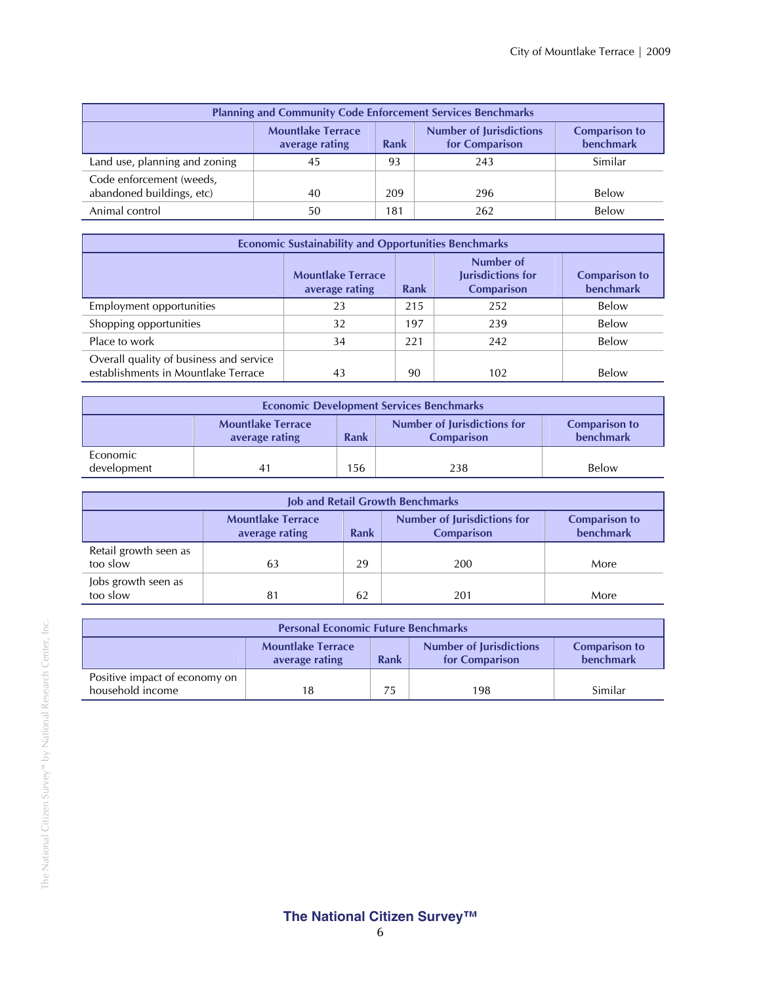| <b>Planning and Community Code Enforcement Services Benchmarks</b>                                                                                 |    |     |     |         |  |  |
|----------------------------------------------------------------------------------------------------------------------------------------------------|----|-----|-----|---------|--|--|
| <b>Number of Jurisdictions</b><br><b>Mountlake Terrace</b><br><b>Comparison to</b><br>benchmark<br>for Comparison<br><b>Rank</b><br>average rating |    |     |     |         |  |  |
| Land use, planning and zoning                                                                                                                      | 45 | 93  | 243 | Similar |  |  |
| Code enforcement (weeds,<br>abandoned buildings, etc)                                                                                              | 40 | 209 | 296 | Below   |  |  |
| Animal control                                                                                                                                     | 50 | 181 | 262 | Below   |  |  |

| <b>Economic Sustainability and Opportunities Benchmarks</b>                    |                                            |      |                                                     |                                   |  |  |
|--------------------------------------------------------------------------------|--------------------------------------------|------|-----------------------------------------------------|-----------------------------------|--|--|
|                                                                                | <b>Mountlake Terrace</b><br>average rating | Rank | Number of<br>Jurisdictions for<br><b>Comparison</b> | <b>Comparison to</b><br>benchmark |  |  |
| Employment opportunities                                                       | 23                                         | 215  | 252                                                 | Below                             |  |  |
| Shopping opportunities                                                         | 32                                         | 197  | 239                                                 | Below                             |  |  |
| Place to work                                                                  | 34                                         | 221  | 242                                                 | Below                             |  |  |
| Overall quality of business and service<br>establishments in Mountlake Terrace | 43                                         | 90   | 102                                                 | Below                             |  |  |

| <b>Economic Development Services Benchmarks</b>                                                                                                    |    |       |     |       |  |  |
|----------------------------------------------------------------------------------------------------------------------------------------------------|----|-------|-----|-------|--|--|
| <b>Number of Jurisdictions for</b><br><b>Mountlake Terrace</b><br><b>Comparison to</b><br>benchmark<br>Rank<br><b>Comparison</b><br>average rating |    |       |     |       |  |  |
| Economic<br>development                                                                                                                            | 41 | ' 56. | 238 | Below |  |  |

| <b>Job and Retail Growth Benchmarks</b>                                                                                                                   |    |    |     |      |  |  |
|-----------------------------------------------------------------------------------------------------------------------------------------------------------|----|----|-----|------|--|--|
| <b>Mountlake Terrace</b><br><b>Number of Jurisdictions for</b><br><b>Comparison to</b><br>benchmark<br><b>Comparison</b><br><b>Rank</b><br>average rating |    |    |     |      |  |  |
| Retail growth seen as<br>too slow                                                                                                                         | 63 | 29 | 200 | More |  |  |
| Jobs growth seen as<br>too slow                                                                                                                           | 81 | 62 | 201 | More |  |  |

| <b>Personal Economic Future Benchmarks</b>                                                                                                  |    |    |     |         |  |
|---------------------------------------------------------------------------------------------------------------------------------------------|----|----|-----|---------|--|
| <b>Mountlake Terrace</b><br><b>Number of Jurisdictions</b><br><b>Comparison to</b><br>benchmark<br>Rank<br>for Comparison<br>average rating |    |    |     |         |  |
| Positive impact of economy on<br>household income                                                                                           | 18 | 75 | 198 | Similar |  |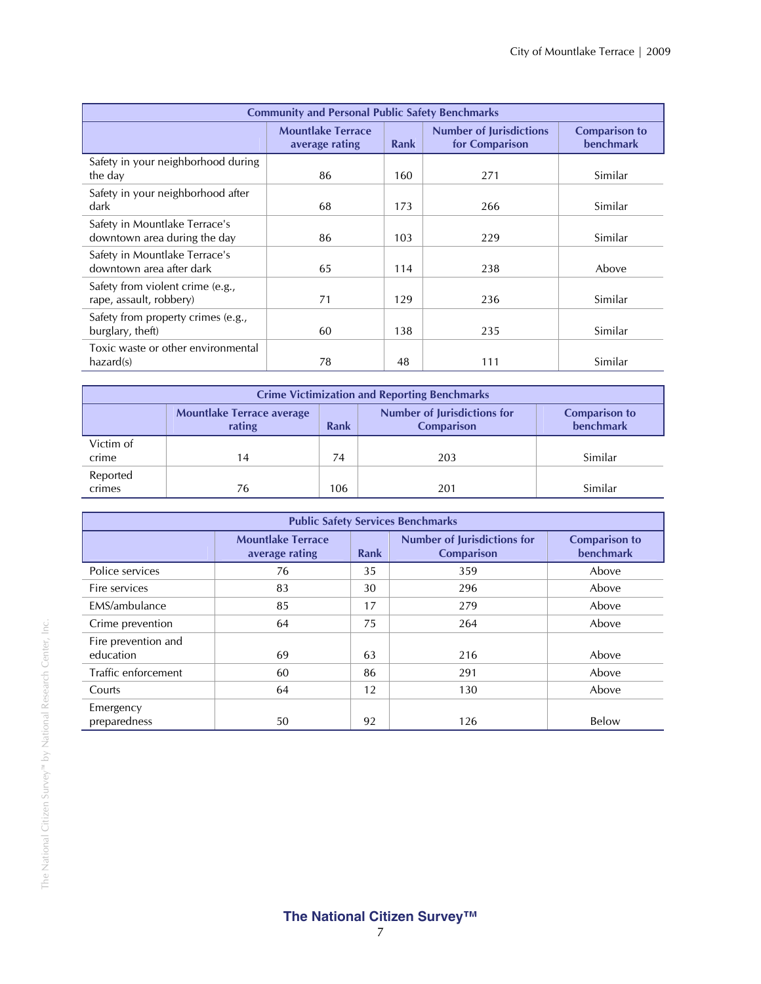| <b>Community and Personal Public Safety Benchmarks</b>        |                                            |      |                                                  |                                          |  |  |
|---------------------------------------------------------------|--------------------------------------------|------|--------------------------------------------------|------------------------------------------|--|--|
|                                                               | <b>Mountlake Terrace</b><br>average rating | Rank | <b>Number of Jurisdictions</b><br>for Comparison | <b>Comparison to</b><br><b>benchmark</b> |  |  |
| Safety in your neighborhood during<br>the day                 | 86                                         | 160  | 271                                              | Similar                                  |  |  |
| Safety in your neighborhood after<br>dark                     | 68                                         | 173  | 266                                              | Similar                                  |  |  |
| Safety in Mountlake Terrace's<br>downtown area during the day | 86                                         | 103  | 229                                              | Similar                                  |  |  |
| Safety in Mountlake Terrace's<br>downtown area after dark     | 65                                         | 114  | 238                                              | Above                                    |  |  |
| Safety from violent crime (e.g.,<br>rape, assault, robbery)   | 71                                         | 129  | 236                                              | Similar                                  |  |  |
| Safety from property crimes (e.g.,<br>burglary, theft)        | 60                                         | 138  | 235                                              | Similar                                  |  |  |
| Toxic waste or other environmental<br>hazard(s)               | 78                                         | 48   | 111                                              | Similar                                  |  |  |

| <b>Crime Victimization and Reporting Benchmarks</b> |                                            |      |                                                         |                                          |  |  |  |
|-----------------------------------------------------|--------------------------------------------|------|---------------------------------------------------------|------------------------------------------|--|--|--|
|                                                     | <b>Mountlake Terrace average</b><br>rating | Rank | <b>Number of Jurisdictions for</b><br><b>Comparison</b> | <b>Comparison to</b><br><b>benchmark</b> |  |  |  |
| Victim of<br>crime                                  | 14                                         | 74   | 203                                                     | Similar                                  |  |  |  |
| Reported<br>crimes                                  | 76                                         | 106  | 201                                                     | Similar                                  |  |  |  |

| <b>Public Safety Services Benchmarks</b> |                                            |      |                                                         |                                          |  |  |
|------------------------------------------|--------------------------------------------|------|---------------------------------------------------------|------------------------------------------|--|--|
|                                          | <b>Mountlake Terrace</b><br>average rating | Rank | <b>Number of Jurisdictions for</b><br><b>Comparison</b> | <b>Comparison to</b><br><b>benchmark</b> |  |  |
| Police services                          | 76                                         | 35   | 359                                                     | Above                                    |  |  |
| Fire services                            | 83                                         | 30   | 296                                                     | Above                                    |  |  |
| EMS/ambulance                            | 85                                         | 17   | 279                                                     | Above                                    |  |  |
| Crime prevention                         | 64                                         | 75   | 264                                                     | Above                                    |  |  |
| Fire prevention and<br>education         | 69                                         | 63   | 216                                                     | Above                                    |  |  |
| Traffic enforcement                      | 60                                         | 86   | 291                                                     | Above                                    |  |  |
| Courts                                   | 64                                         | 12   | 130                                                     | Above                                    |  |  |
| Emergency<br>preparedness                | 50                                         | 92   | 126                                                     | Below                                    |  |  |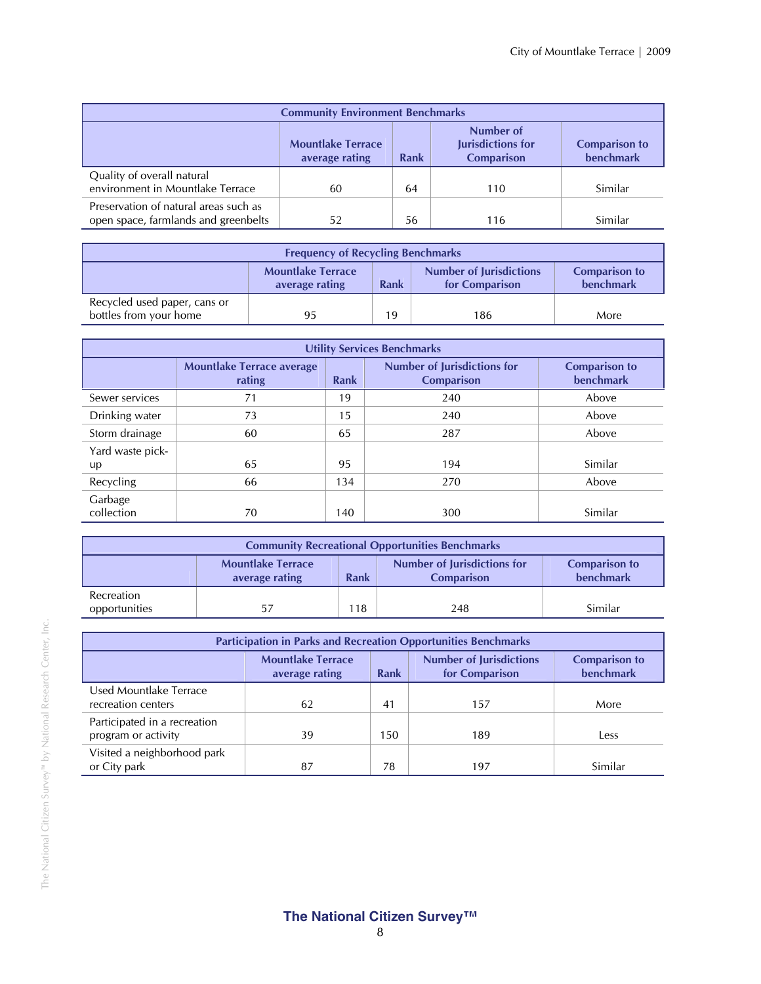| <b>Community Environment Benchmarks</b>                                                                                                 |    |    |     |         |  |
|-----------------------------------------------------------------------------------------------------------------------------------------|----|----|-----|---------|--|
| Number of<br>Jurisdictions for<br><b>Mountlake Terrace</b><br><b>Comparison to</b><br>benchmark<br>Comparison<br>average rating<br>Rank |    |    |     |         |  |
| Quality of overall natural<br>environment in Mountlake Terrace                                                                          | 60 | 64 | 110 | Similar |  |
| Preservation of natural areas such as<br>open space, farmlands and greenbelts                                                           | 52 | 56 | 116 | Similar |  |

| <b>Frequency of Recycling Benchmarks</b>                                                                                                           |    |    |     |      |  |
|----------------------------------------------------------------------------------------------------------------------------------------------------|----|----|-----|------|--|
| <b>Mountlake Terrace</b><br><b>Number of Jurisdictions</b><br><b>Comparison to</b><br>benchmark<br><b>Rank</b><br>for Comparison<br>average rating |    |    |     |      |  |
| Recycled used paper, cans or<br>bottles from your home                                                                                             | 95 | 19 | 186 | More |  |

| <b>Utility Services Benchmarks</b> |                                            |             |                                                         |                                          |  |  |  |
|------------------------------------|--------------------------------------------|-------------|---------------------------------------------------------|------------------------------------------|--|--|--|
|                                    | <b>Mountlake Terrace average</b><br>rating | <b>Rank</b> | <b>Number of Jurisdictions for</b><br><b>Comparison</b> | <b>Comparison to</b><br><b>benchmark</b> |  |  |  |
| Sewer services                     | 71                                         | 19          | 240                                                     | Above                                    |  |  |  |
| Drinking water                     | 73                                         | 15          | 240                                                     | Above                                    |  |  |  |
| Storm drainage                     | 60                                         | 65          | 287                                                     | Above                                    |  |  |  |
| Yard waste pick-                   |                                            |             |                                                         |                                          |  |  |  |
| up                                 | 65                                         | 95          | 194                                                     | Similar                                  |  |  |  |
| Recycling                          | 66                                         | 134         | 270                                                     | Above                                    |  |  |  |
| Garbage<br>collection              | 70                                         | 140         | 300                                                     | Similar                                  |  |  |  |

| <b>Community Recreational Opportunities Benchmarks</b> |                                                                                                                                                           |     |     |         |  |  |
|--------------------------------------------------------|-----------------------------------------------------------------------------------------------------------------------------------------------------------|-----|-----|---------|--|--|
|                                                        | Number of Jurisdictions for<br><b>Mountlake Terrace</b><br><b>Comparison to</b><br><b>benchmark</b><br><b>Rank</b><br><b>Comparison</b><br>average rating |     |     |         |  |  |
| Recreation<br>opportunities                            | 57                                                                                                                                                        | 118 | 248 | Similar |  |  |

| <b>Participation in Parks and Recreation Opportunities Benchmarks</b> |                                                                                                                                                    |     |     |         |  |  |
|-----------------------------------------------------------------------|----------------------------------------------------------------------------------------------------------------------------------------------------|-----|-----|---------|--|--|
|                                                                       | <b>Number of Jurisdictions</b><br><b>Mountlake Terrace</b><br><b>Comparison to</b><br>benchmark<br>for Comparison<br><b>Rank</b><br>average rating |     |     |         |  |  |
| Used Mountlake Terrace<br>recreation centers                          | 62                                                                                                                                                 | 41  | 157 | More    |  |  |
| Participated in a recreation<br>program or activity                   | 39                                                                                                                                                 | 150 | 189 | Less    |  |  |
| Visited a neighborhood park<br>or City park                           | 87                                                                                                                                                 | 78  | 197 | Similar |  |  |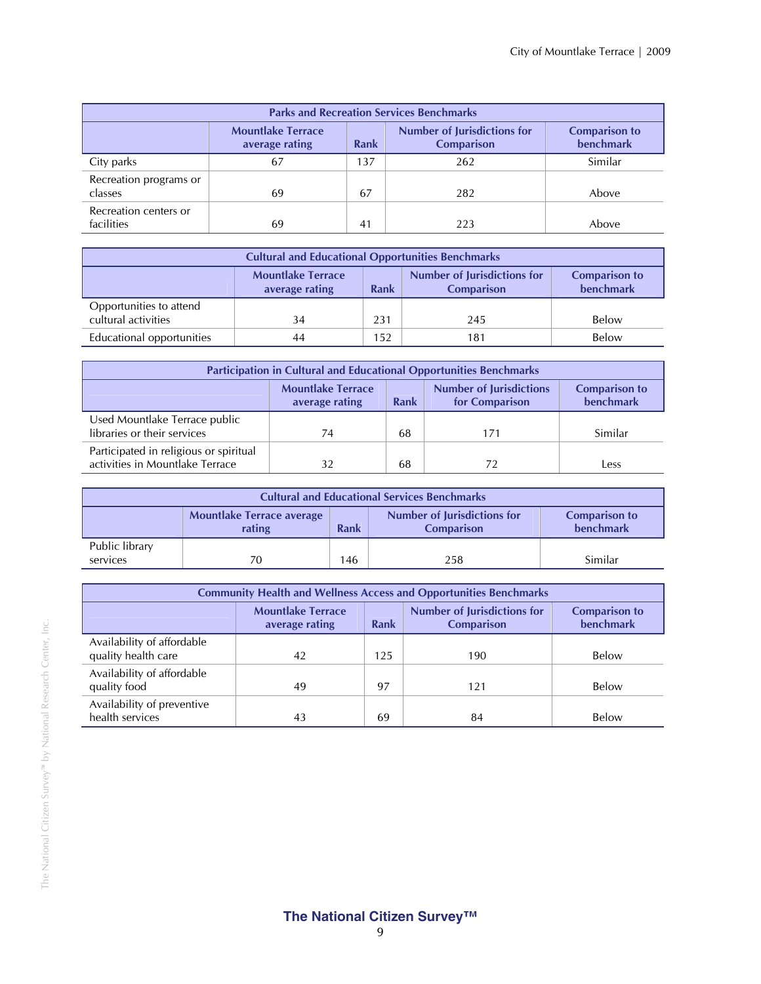| <b>Parks and Recreation Services Benchmarks</b> |                                                                                                               |     |     |         |  |  |
|-------------------------------------------------|---------------------------------------------------------------------------------------------------------------|-----|-----|---------|--|--|
|                                                 | <b>Number of Jurisdictions for</b><br><b>Mountlake Terrace</b><br><b>Comparison</b><br>Rank<br>average rating |     |     |         |  |  |
| City parks                                      | 67                                                                                                            | 137 | 262 | Similar |  |  |
| Recreation programs or<br>classes               | 69                                                                                                            | 67  | 282 | Above   |  |  |
| Recreation centers or<br>facilities             | 69                                                                                                            | 41  | 223 | Above   |  |  |

| <b>Cultural and Educational Opportunities Benchmarks</b> |                                                                                                                                                    |     |     |       |  |  |
|----------------------------------------------------------|----------------------------------------------------------------------------------------------------------------------------------------------------|-----|-----|-------|--|--|
|                                                          | <b>Mountlake Terrace</b><br>Number of Jurisdictions for<br><b>Comparison to</b><br><b>benchmark</b><br>Rank<br><b>Comparison</b><br>average rating |     |     |       |  |  |
| Opportunities to attend<br>cultural activities           | 34                                                                                                                                                 | 231 | 245 | Below |  |  |
| Educational opportunities                                | 44                                                                                                                                                 | 152 | 181 | Below |  |  |

| <b>Participation in Cultural and Educational Opportunities Benchmarks</b>                                                                   |    |    |     |         |  |
|---------------------------------------------------------------------------------------------------------------------------------------------|----|----|-----|---------|--|
| <b>Mountlake Terrace</b><br><b>Number of Jurisdictions</b><br><b>Comparison to</b><br>benchmark<br>for Comparison<br>Rank<br>average rating |    |    |     |         |  |
| Used Mountlake Terrace public<br>libraries or their services                                                                                | 74 | 68 | 171 | Similar |  |
| Participated in religious or spiritual<br>activities in Mountlake Terrace                                                                   |    | 68 |     | Less    |  |

| <b>Cultural and Educational Services Benchmarks</b> |                                                                                                                                                    |     |     |         |  |  |
|-----------------------------------------------------|----------------------------------------------------------------------------------------------------------------------------------------------------|-----|-----|---------|--|--|
|                                                     | <b>Number of Jurisdictions for</b><br><b>Mountlake Terrace average</b><br><b>Comparison to</b><br>benchmark<br>Rank<br><b>Comparison</b><br>rating |     |     |         |  |  |
| Public library<br>services                          | 70                                                                                                                                                 | 146 | 258 | Similar |  |  |

| <b>Community Health and Wellness Access and Opportunities Benchmarks</b> |                                          |     |     |       |  |
|--------------------------------------------------------------------------|------------------------------------------|-----|-----|-------|--|
|                                                                          | <b>Comparison to</b><br><b>benchmark</b> |     |     |       |  |
| Availability of affordable<br>quality health care                        | 42                                       | 125 | 190 | Below |  |
| Availability of affordable<br>quality food                               | 49                                       | 97  | 121 | Below |  |
| Availability of preventive<br>health services                            | 43                                       | 69  | 84  | Below |  |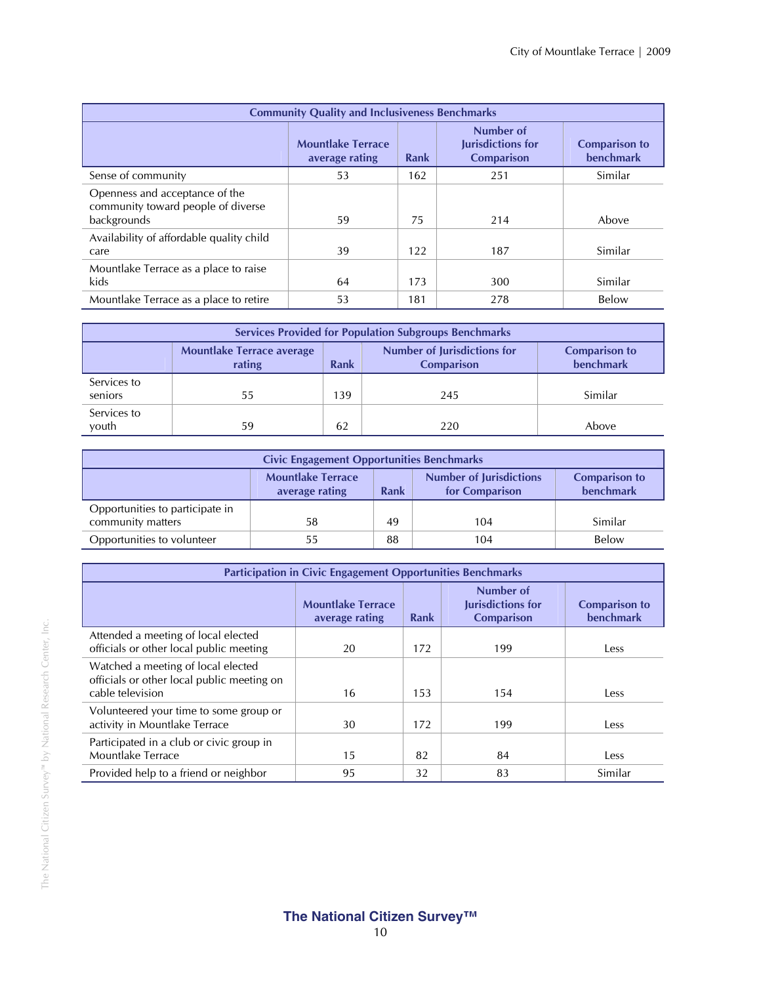| <b>Community Quality and Inclusiveness Benchmarks</b>                               |                                            |      |                                                     |                                   |  |  |
|-------------------------------------------------------------------------------------|--------------------------------------------|------|-----------------------------------------------------|-----------------------------------|--|--|
|                                                                                     | <b>Mountlake Terrace</b><br>average rating | Rank | Number of<br>Jurisdictions for<br><b>Comparison</b> | <b>Comparison to</b><br>benchmark |  |  |
| Sense of community                                                                  | 53                                         | 162  | 251                                                 | Similar                           |  |  |
| Openness and acceptance of the<br>community toward people of diverse<br>backgrounds | 59                                         | 75   | 214                                                 | Above                             |  |  |
| Availability of affordable quality child<br>care                                    | 39                                         | 122  | 187                                                 | Similar                           |  |  |
| Mountlake Terrace as a place to raise<br>kids                                       | 64                                         | 173  | 300                                                 | Similar                           |  |  |
| Mountlake Terrace as a place to retire                                              | 53                                         | 181  | 278                                                 | Below                             |  |  |

| <b>Services Provided for Population Subgroups Benchmarks</b> |                                                                                                                                                           |     |     |         |  |  |
|--------------------------------------------------------------|-----------------------------------------------------------------------------------------------------------------------------------------------------------|-----|-----|---------|--|--|
|                                                              | <b>Number of Jurisdictions for</b><br><b>Mountlake Terrace average</b><br><b>Comparison to</b><br><b>benchmark</b><br><b>Comparison</b><br>rating<br>Rank |     |     |         |  |  |
| Services to<br>seniors                                       | 55                                                                                                                                                        | 139 | 245 | Similar |  |  |
| Services to<br>vouth                                         | 59                                                                                                                                                        | 62  | 220 | Above   |  |  |

| <b>Civic Engagement Opportunities Benchmarks</b>     |                                                                                                                                                    |    |     |         |  |  |  |
|------------------------------------------------------|----------------------------------------------------------------------------------------------------------------------------------------------------|----|-----|---------|--|--|--|
|                                                      | <b>Mountlake Terrace</b><br><b>Number of Jurisdictions</b><br><b>Comparison to</b><br>benchmark<br>for Comparison<br><b>Rank</b><br>average rating |    |     |         |  |  |  |
| Opportunities to participate in<br>community matters | 58                                                                                                                                                 | 49 | 104 | Similar |  |  |  |
| Opportunities to volunteer                           | 55                                                                                                                                                 | 88 | 104 | Below   |  |  |  |

| <b>Participation in Civic Engagement Opportunities Benchmarks</b>                                    |                                            |      |                                                            |                                          |  |  |
|------------------------------------------------------------------------------------------------------|--------------------------------------------|------|------------------------------------------------------------|------------------------------------------|--|--|
|                                                                                                      | <b>Mountlake Terrace</b><br>average rating | Rank | Number of<br><b>Jurisdictions for</b><br><b>Comparison</b> | <b>Comparison to</b><br><b>benchmark</b> |  |  |
| Attended a meeting of local elected<br>officials or other local public meeting                       | 20                                         | 172  | 199                                                        | Less                                     |  |  |
| Watched a meeting of local elected<br>officials or other local public meeting on<br>cable television | 16                                         | 153  | 154                                                        | Less                                     |  |  |
| Volunteered your time to some group or<br>activity in Mountlake Terrace                              | 30                                         | 172  | 199                                                        | Less                                     |  |  |
| Participated in a club or civic group in<br>Mountlake Terrace                                        | 15                                         | 82   | 84                                                         | Less                                     |  |  |
| Provided help to a friend or neighbor                                                                | 95                                         | 32   | 83                                                         | Similar                                  |  |  |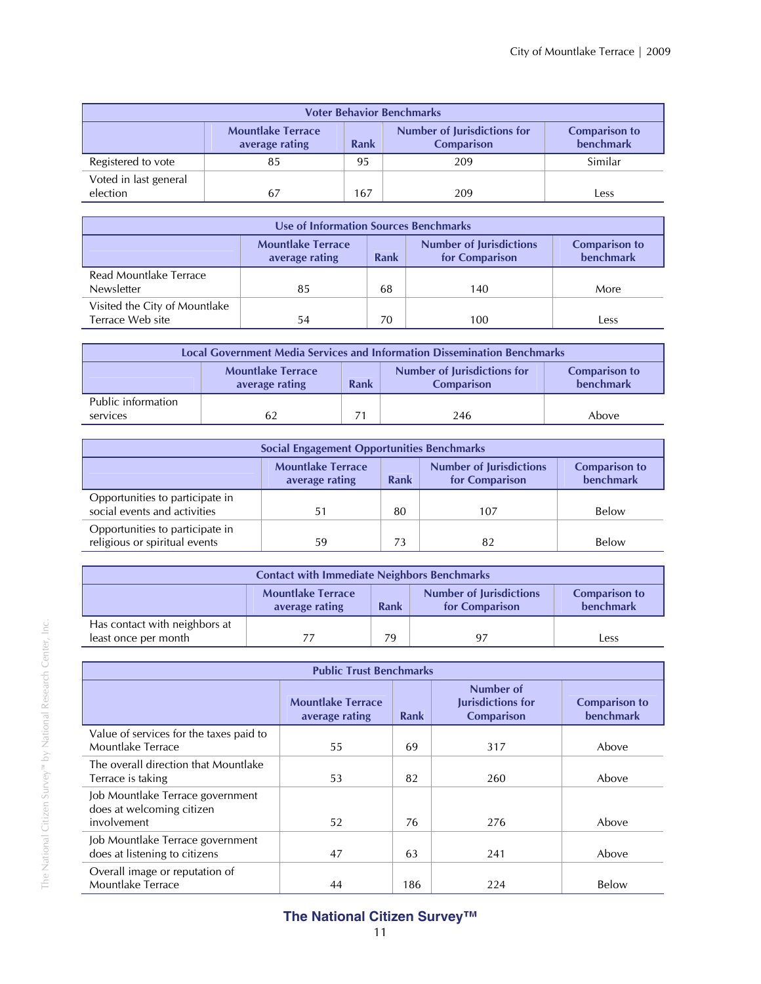| <b>Voter Behavior Benchmarks</b>                                                                                                                          |    |     |     |         |  |  |
|-----------------------------------------------------------------------------------------------------------------------------------------------------------|----|-----|-----|---------|--|--|
| <b>Number of Jurisdictions for</b><br><b>Mountlake Terrace</b><br><b>Comparison to</b><br>benchmark<br><b>Rank</b><br><b>Comparison</b><br>average rating |    |     |     |         |  |  |
| Registered to vote                                                                                                                                        | 85 | 95  | 209 | Similar |  |  |
| Voted in last general<br>election                                                                                                                         | 67 | 167 | 209 | Less    |  |  |

| Use of Information Sources Benchmarks             |                                                                                                                                                           |    |     |      |  |  |
|---------------------------------------------------|-----------------------------------------------------------------------------------------------------------------------------------------------------------|----|-----|------|--|--|
|                                                   | <b>Mountlake Terrace</b><br><b>Number of Jurisdictions</b><br><b>Comparison to</b><br><b>benchmark</b><br>for Comparison<br><b>Rank</b><br>average rating |    |     |      |  |  |
| Read Mountlake Terrace<br>Newsletter              | 85                                                                                                                                                        | 68 | 140 | More |  |  |
| Visited the City of Mountlake<br>Terrace Web site | 54                                                                                                                                                        | 70 | 100 | _ess |  |  |

| <b>Local Government Media Services and Information Dissemination Benchmarks</b> |                                                                                                                                                    |  |     |       |  |  |
|---------------------------------------------------------------------------------|----------------------------------------------------------------------------------------------------------------------------------------------------|--|-----|-------|--|--|
|                                                                                 | Number of Jurisdictions for<br><b>Mountlake Terrace</b><br><b>Comparison to</b><br>benchmark<br><b>Rank</b><br>average rating<br><b>Comparison</b> |  |     |       |  |  |
| Public information<br>services                                                  | 62                                                                                                                                                 |  | 246 | Above |  |  |

| <b>Social Engagement Opportunities Benchmarks</b>                |                                                                                                                                             |    |     |       |  |
|------------------------------------------------------------------|---------------------------------------------------------------------------------------------------------------------------------------------|----|-----|-------|--|
|                                                                  | <b>Number of Jurisdictions</b><br><b>Mountlake Terrace</b><br><b>Comparison to</b><br>benchmark<br>for Comparison<br>Rank<br>average rating |    |     |       |  |
| Opportunities to participate in<br>social events and activities  | 51                                                                                                                                          | 80 | 107 | Below |  |
| Opportunities to participate in<br>religious or spiritual events | 59                                                                                                                                          | 73 | 82  | Below |  |

| <b>Contact with Immediate Neighbors Benchmarks</b>    |                                                                                                                                             |    |    |      |  |
|-------------------------------------------------------|---------------------------------------------------------------------------------------------------------------------------------------------|----|----|------|--|
|                                                       | <b>Mountlake Terrace</b><br><b>Number of Jurisdictions</b><br><b>Comparison to</b><br>benchmark<br>Rank<br>for Comparison<br>average rating |    |    |      |  |
| Has contact with neighbors at<br>least once per month |                                                                                                                                             | 79 | 97 | _ess |  |

| <b>Public Trust Benchmarks</b>                                               |                                            |      |                                                            |                                          |  |
|------------------------------------------------------------------------------|--------------------------------------------|------|------------------------------------------------------------|------------------------------------------|--|
|                                                                              | <b>Mountlake Terrace</b><br>average rating | Rank | Number of<br><b>Jurisdictions for</b><br><b>Comparison</b> | <b>Comparison to</b><br><b>benchmark</b> |  |
| Value of services for the taxes paid to<br>Mountlake Terrace                 | 55                                         | 69   | 317                                                        | Above                                    |  |
| The overall direction that Mountlake<br>Terrace is taking                    | 53                                         | 82   | 260                                                        | Above                                    |  |
| Job Mountlake Terrace government<br>does at welcoming citizen<br>involvement | 52                                         | 76   | 276                                                        | Above                                    |  |
| Job Mountlake Terrace government<br>does at listening to citizens            | 47                                         | 63   | 241                                                        | Above                                    |  |
| Overall image or reputation of<br>Mountlake Terrace                          | 44                                         | 186  | 224                                                        | Below                                    |  |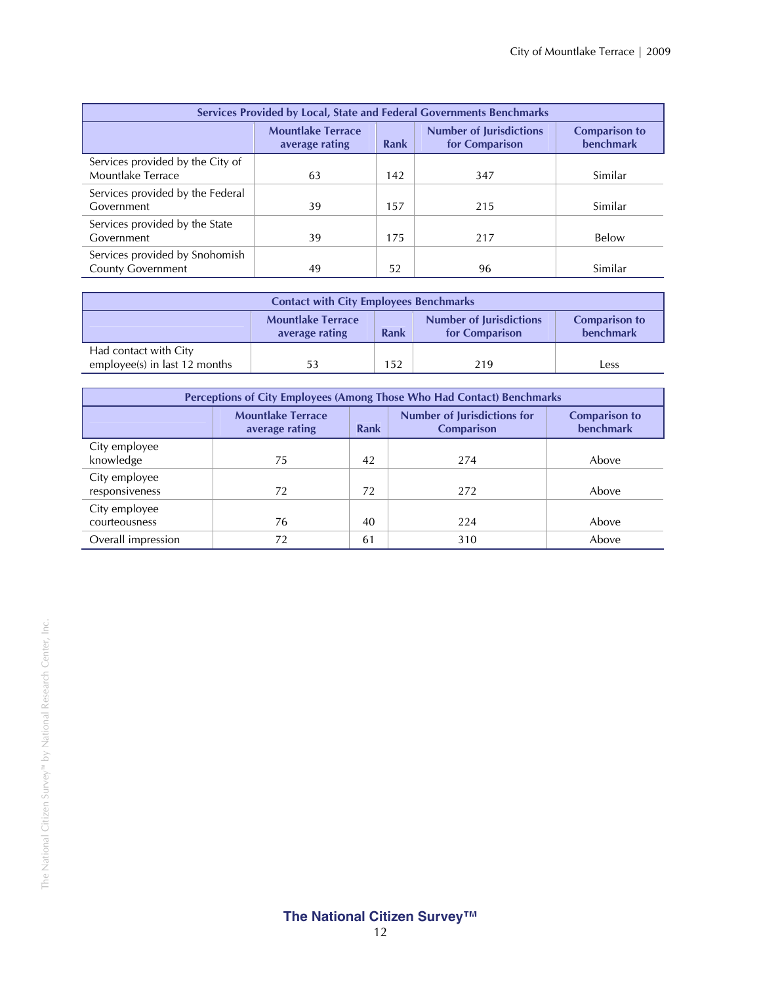| Services Provided by Local, State and Federal Governments Benchmarks |                                                                                                                                                    |     |     |         |  |  |
|----------------------------------------------------------------------|----------------------------------------------------------------------------------------------------------------------------------------------------|-----|-----|---------|--|--|
|                                                                      | <b>Number of Jurisdictions</b><br><b>Mountlake Terrace</b><br><b>Comparison to</b><br><b>benchmark</b><br>for Comparison<br>Rank<br>average rating |     |     |         |  |  |
| Services provided by the City of<br>Mountlake Terrace                | 63                                                                                                                                                 | 142 | 347 | Similar |  |  |
| Services provided by the Federal<br>Government                       | 39                                                                                                                                                 | 157 | 215 | Similar |  |  |
| Services provided by the State<br>Government                         | 39                                                                                                                                                 | 175 | 217 | Below   |  |  |
| Services provided by Snohomish<br><b>County Government</b>           | 49                                                                                                                                                 | 52  | 96  | Similar |  |  |

| <b>Contact with City Employees Benchmarks</b>          |                                                                                                                                                    |     |     |      |  |
|--------------------------------------------------------|----------------------------------------------------------------------------------------------------------------------------------------------------|-----|-----|------|--|
|                                                        | <b>Number of Jurisdictions</b><br><b>Mountlake Terrace</b><br><b>Comparison to</b><br>benchmark<br><b>Rank</b><br>for Comparison<br>average rating |     |     |      |  |
| Had contact with City<br>employee(s) in last 12 months | 53                                                                                                                                                 | 152 | 219 | Less |  |

| Perceptions of City Employees (Among Those Who Had Contact) Benchmarks |                                                                                                                                                                  |    |     |       |  |  |
|------------------------------------------------------------------------|------------------------------------------------------------------------------------------------------------------------------------------------------------------|----|-----|-------|--|--|
|                                                                        | <b>Number of Jurisdictions for</b><br><b>Mountlake Terrace</b><br><b>Comparison to</b><br><b>benchmark</b><br><b>Rank</b><br><b>Comparison</b><br>average rating |    |     |       |  |  |
| City employee<br>knowledge                                             | 75                                                                                                                                                               | 42 | 274 | Above |  |  |
| City employee<br>responsiveness                                        | 72                                                                                                                                                               | 72 | 272 | Above |  |  |
| City employee<br>courteousness                                         | 76                                                                                                                                                               | 40 | 224 | Above |  |  |
| Overall impression                                                     | 72                                                                                                                                                               | 61 | 310 | Above |  |  |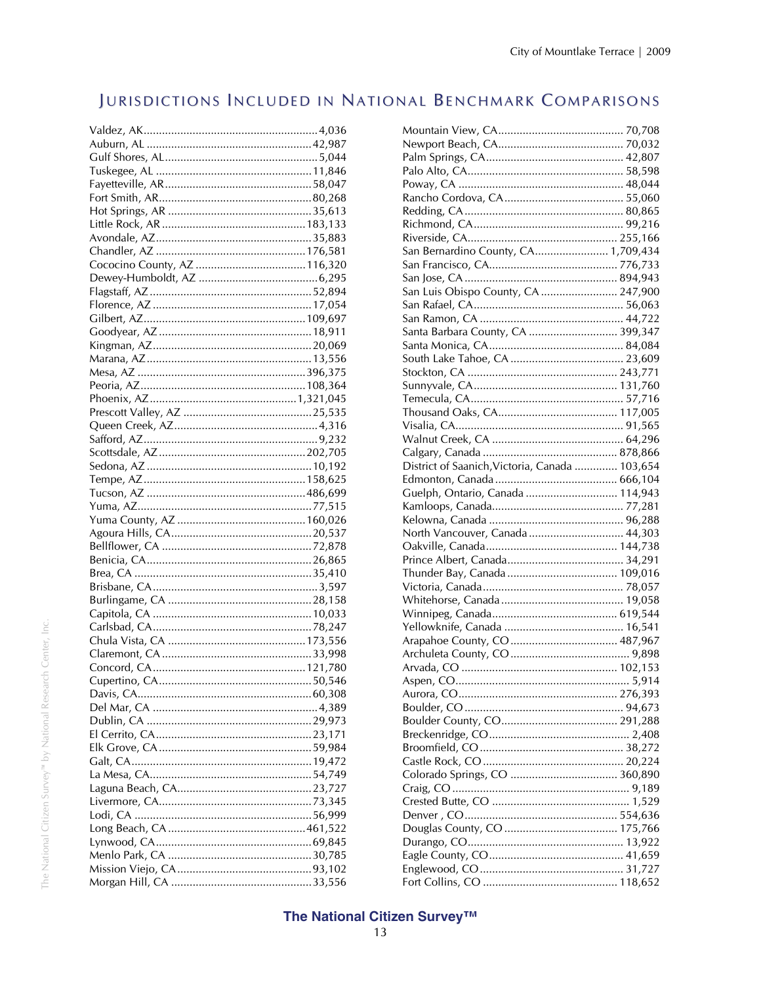## JURISDICTIONS INCLUDED IN NATIONAL BENCHMARK COMPARISONS

| San Bernardino County, CA 1,709,434            |  |
|------------------------------------------------|--|
|                                                |  |
|                                                |  |
| San Luis Obispo County, CA  247,900            |  |
|                                                |  |
|                                                |  |
| Santa Barbara County, CA  399,347              |  |
|                                                |  |
|                                                |  |
|                                                |  |
|                                                |  |
|                                                |  |
|                                                |  |
|                                                |  |
|                                                |  |
|                                                |  |
| District of Saanich, Victoria, Canada  103,654 |  |
|                                                |  |
| Guelph, Ontario, Canada  114,943               |  |
|                                                |  |
|                                                |  |
| North Vancouver, Canada  44,303                |  |
|                                                |  |
|                                                |  |
|                                                |  |
|                                                |  |
|                                                |  |
|                                                |  |
|                                                |  |
|                                                |  |
|                                                |  |
|                                                |  |
|                                                |  |
|                                                |  |
|                                                |  |
|                                                |  |
|                                                |  |
|                                                |  |
|                                                |  |
|                                                |  |
|                                                |  |
|                                                |  |
|                                                |  |
|                                                |  |
|                                                |  |
|                                                |  |
|                                                |  |
|                                                |  |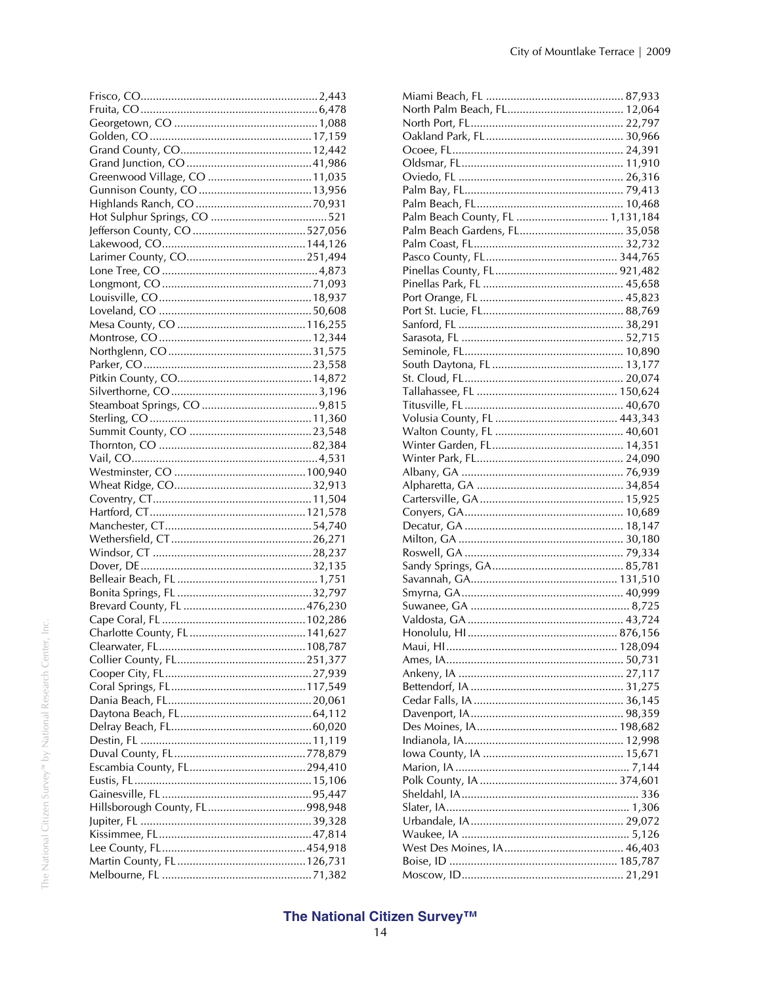| Palm Beach County, FL  1,131,184 |
|----------------------------------|
| Palm Beach Gardens, FL 35,058    |
|                                  |
|                                  |
|                                  |
|                                  |
|                                  |
|                                  |
|                                  |
|                                  |
|                                  |
|                                  |
|                                  |
|                                  |
|                                  |
|                                  |
|                                  |
|                                  |
|                                  |
|                                  |
|                                  |
|                                  |
|                                  |
|                                  |
|                                  |
|                                  |
|                                  |
|                                  |
|                                  |
|                                  |
|                                  |
|                                  |
|                                  |
|                                  |
|                                  |
|                                  |
|                                  |
|                                  |
|                                  |
|                                  |
|                                  |
|                                  |
|                                  |
|                                  |
|                                  |
|                                  |
|                                  |
|                                  |
|                                  |
|                                  |
|                                  |
|                                  |
|                                  |
|                                  |
|                                  |
|                                  |
|                                  |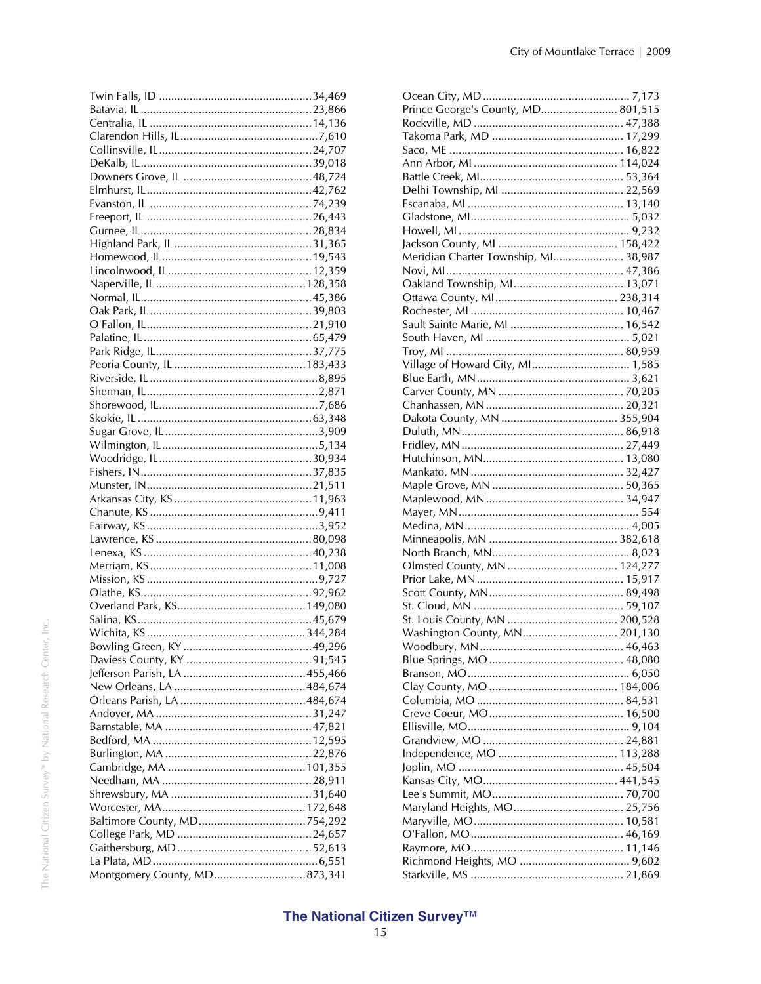| Montgomery County, MD873,341 |  |
|------------------------------|--|

| Prince George's County, MD 801,515   |  |
|--------------------------------------|--|
|                                      |  |
|                                      |  |
|                                      |  |
|                                      |  |
|                                      |  |
|                                      |  |
|                                      |  |
|                                      |  |
|                                      |  |
|                                      |  |
| Meridian Charter Township, MI 38,987 |  |
|                                      |  |
|                                      |  |
|                                      |  |
|                                      |  |
|                                      |  |
|                                      |  |
|                                      |  |
| Village of Howard City, MI 1,585     |  |
|                                      |  |
|                                      |  |
|                                      |  |
|                                      |  |
|                                      |  |
|                                      |  |
|                                      |  |
|                                      |  |
|                                      |  |
|                                      |  |
|                                      |  |
|                                      |  |
|                                      |  |
|                                      |  |
|                                      |  |
|                                      |  |
|                                      |  |
|                                      |  |
|                                      |  |
|                                      |  |
| Washington County, MN 201,130        |  |
|                                      |  |
|                                      |  |
|                                      |  |
|                                      |  |
|                                      |  |
|                                      |  |
|                                      |  |
|                                      |  |
|                                      |  |
|                                      |  |
|                                      |  |
|                                      |  |
|                                      |  |
|                                      |  |
|                                      |  |
|                                      |  |
|                                      |  |
|                                      |  |
|                                      |  |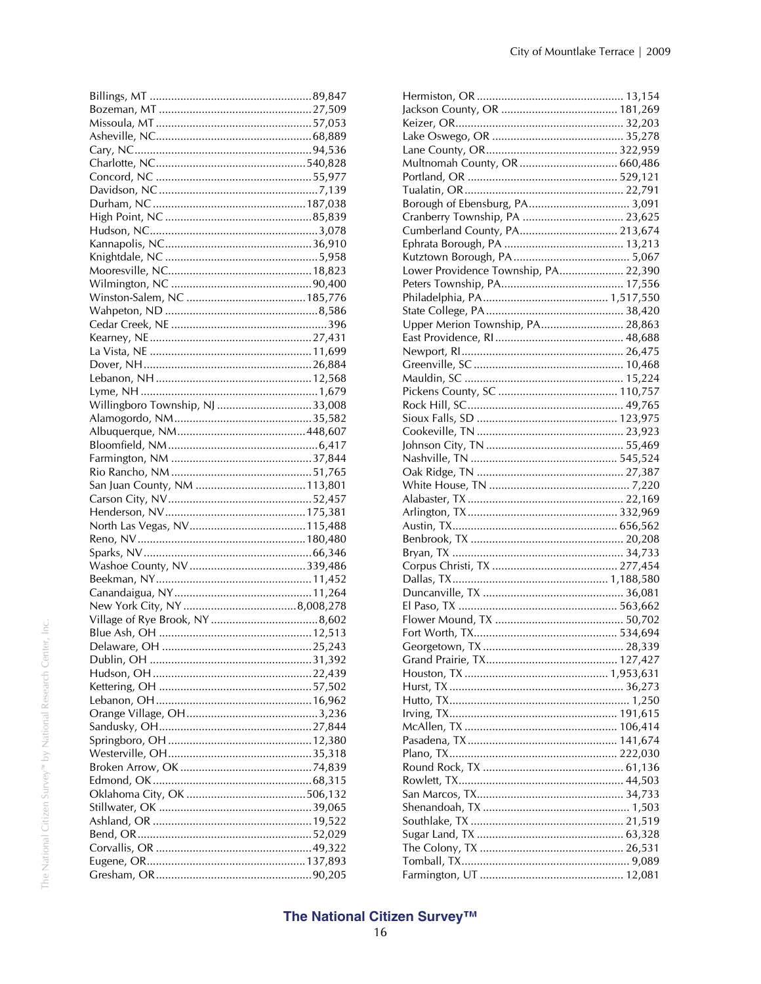| Willingboro Township, NJ 33,008 |  |
|---------------------------------|--|
|                                 |  |
|                                 |  |
|                                 |  |
|                                 |  |
|                                 |  |
|                                 |  |
|                                 |  |
|                                 |  |
|                                 |  |
|                                 |  |
|                                 |  |
|                                 |  |
|                                 |  |
|                                 |  |
|                                 |  |
|                                 |  |
|                                 |  |
|                                 |  |
|                                 |  |
|                                 |  |
|                                 |  |
|                                 |  |
|                                 |  |
|                                 |  |
|                                 |  |
|                                 |  |
|                                 |  |
|                                 |  |
|                                 |  |
|                                 |  |
|                                 |  |
|                                 |  |
|                                 |  |
|                                 |  |
|                                 |  |

| Borough of Ebensburg, PA 3,091       |  |
|--------------------------------------|--|
| Cranberry Township, PA  23,625       |  |
| Cumberland County, PA 213,674        |  |
|                                      |  |
|                                      |  |
| Lower Providence Township, PA 22,390 |  |
|                                      |  |
|                                      |  |
|                                      |  |
| Upper Merion Township, PA 28,863     |  |
|                                      |  |
|                                      |  |
|                                      |  |
|                                      |  |
|                                      |  |
|                                      |  |
|                                      |  |
|                                      |  |
|                                      |  |
|                                      |  |
|                                      |  |
|                                      |  |
|                                      |  |
|                                      |  |
|                                      |  |
|                                      |  |
|                                      |  |
|                                      |  |
|                                      |  |
|                                      |  |
|                                      |  |
|                                      |  |
|                                      |  |
|                                      |  |
|                                      |  |
|                                      |  |
|                                      |  |
|                                      |  |
|                                      |  |
|                                      |  |
|                                      |  |
|                                      |  |
|                                      |  |
|                                      |  |
|                                      |  |
|                                      |  |
|                                      |  |
|                                      |  |
|                                      |  |
|                                      |  |
|                                      |  |
|                                      |  |
|                                      |  |